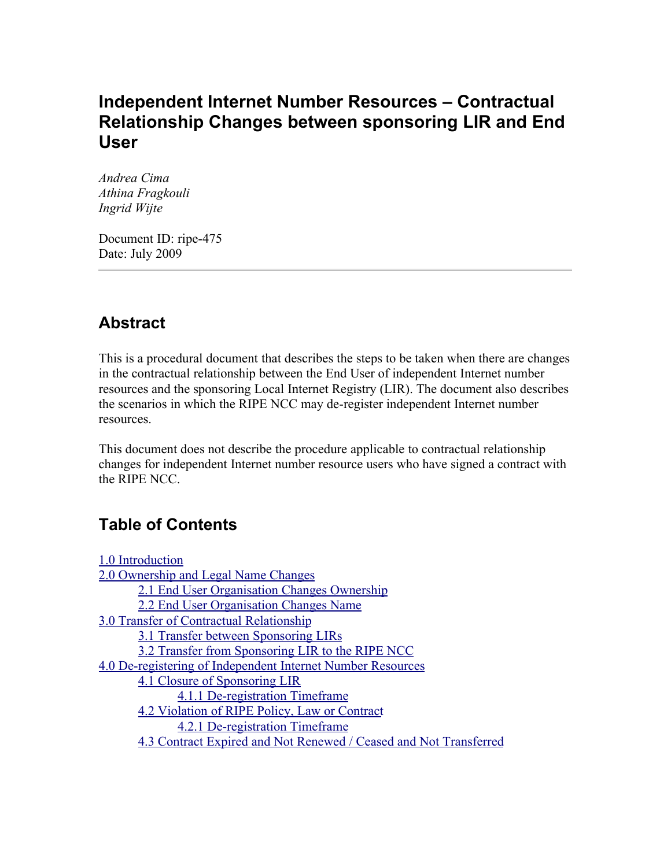# **Independent Internet Number Resources – Contractual Relationship Changes between sponsoring LIR and End User**

*Andrea Cima Athina Fragkouli Ingrid Wijte*

Document ID: ripe-475 Date: July 2009

# **Abstract**

This is a procedural document that describes the steps to be taken when there are changes in the contractual relationship between the End User of independent Internet number resources and the sponsoring Local Internet Registry (LIR). The document also describes the scenarios in which the RIPE NCC may de-register independent Internet number resources.

This document does not describe the procedure applicable to contractual relationship changes for independent Internet number resource users who have signed a contract with the RIPE NCC.

# **Table of Contents**

| 1.0 Introduction                                                  |
|-------------------------------------------------------------------|
| 2.0 Ownership and Legal Name Changes                              |
| 2.1 End User Organisation Changes Ownership                       |
| 2.2 End User Organisation Changes Name                            |
| 3.0 Transfer of Contractual Relationship                          |
| 3.1 Transfer between Sponsoring LIRs                              |
| 3.2 Transfer from Sponsoring LIR to the RIPE NCC                  |
| 4.0 De-registering of Independent Internet Number Resources       |
| 4.1 Closure of Sponsoring LIR                                     |
| 4.1.1 De-registration Timeframe                                   |
| 4.2 Violation of RIPE Policy, Law or Contract                     |
| 4.2.1 De-registration Timeframe                                   |
| 4.3 Contract Expired and Not Renewed / Ceased and Not Transferred |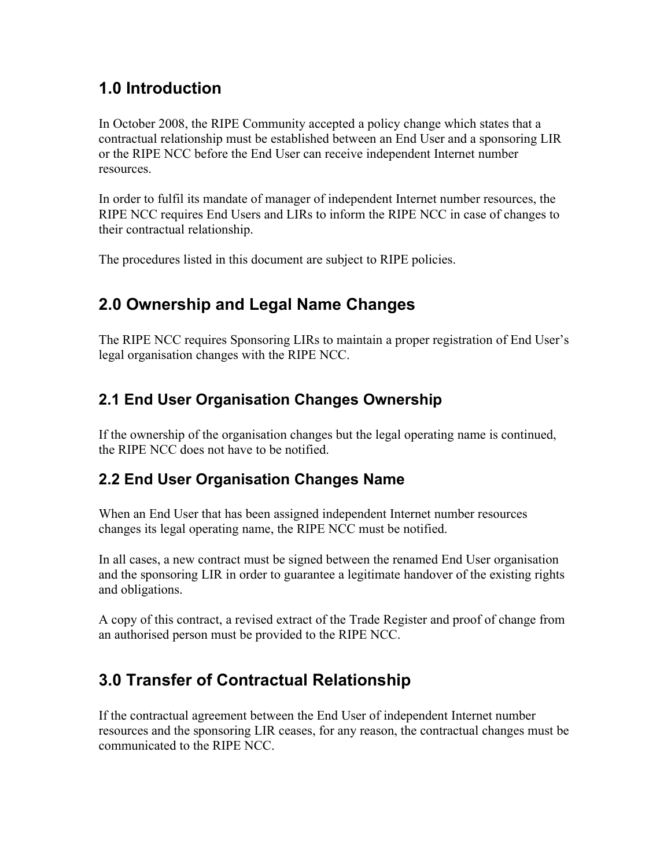# <span id="page-1-0"></span>**1.0 Introduction**

In October 2008, the RIPE Community accepted a policy change which states that a contractual relationship must be established between an End User and a sponsoring LIR or the RIPE NCC before the End User can receive independent Internet number resources.

In order to fulfil its mandate of manager of independent Internet number resources, the RIPE NCC requires End Users and LIRs to inform the RIPE NCC in case of changes to their contractual relationship.

The procedures listed in this document are subject to RIPE policies.

# <span id="page-1-4"></span>**2.0 Ownership and Legal Name Changes**

The RIPE NCC requires Sponsoring LIRs to maintain a proper registration of End User's legal organisation changes with the RIPE NCC.

# <span id="page-1-3"></span>**2.1 End User Organisation Changes Ownership**

If the ownership of the organisation changes but the legal operating name is continued, the RIPE NCC does not have to be notified.

# <span id="page-1-2"></span>**2.2 End User Organisation Changes Name**

When an End User that has been assigned independent Internet number resources changes its legal operating name, the RIPE NCC must be notified.

In all cases, a new contract must be signed between the renamed End User organisation and the sponsoring LIR in order to guarantee a legitimate handover of the existing rights and obligations.

A copy of this contract, a revised extract of the Trade Register and proof of change from an authorised person must be provided to the RIPE NCC.

# <span id="page-1-1"></span>**3.0 Transfer of Contractual Relationship**

If the contractual agreement between the End User of independent Internet number resources and the sponsoring LIR ceases, for any reason, the contractual changes must be communicated to the RIPE NCC.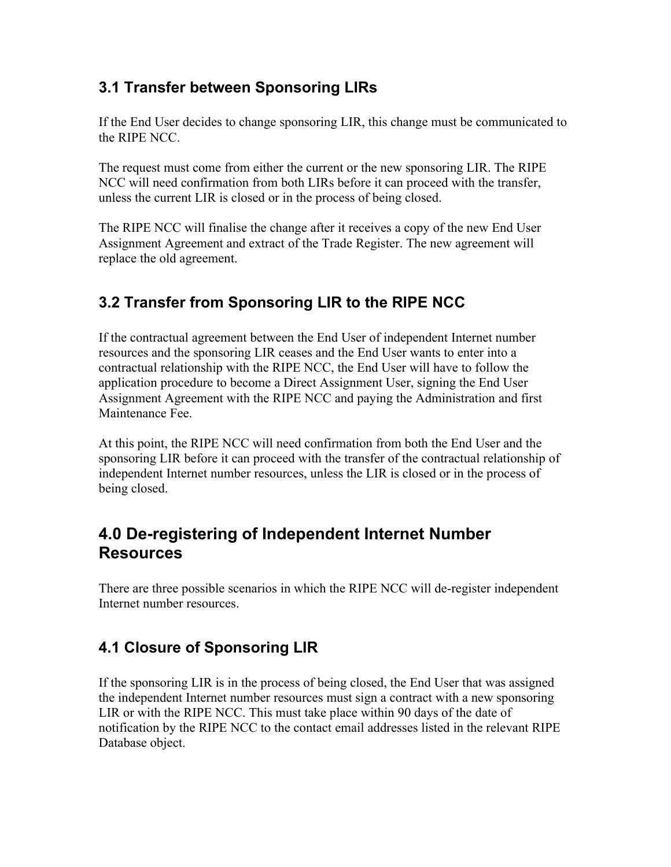### <span id="page-2-3"></span>**3.1 Transfer between Sponsoring LIRs**

If the End User decides to change sponsoring LIR, this change must be communicated to the RIPE NCC.

The request must come from either the current or the new sponsoring LIR. The RIPE NCC will need confirmation from both LIRs before it can proceed with the transfer, unless the current LIR is closed or in the process of being closed.

The RIPE NCC will finalise the change after it receives a copy of the new End User Assignment Agreement and extract of the Trade Register. The new agreement will replace the old agreement.

# <span id="page-2-2"></span>**3.2 Transfer from Sponsoring LIR to the RIPE NCC**

If the contractual agreement between the End User of independent Internet number resources and the sponsoring LIR ceases and the End User wants to enter into a contractual relationship with the RIPE NCC, the End User will have to follow the application procedure to become a Direct Assignment User, signing the End User Assignment Agreement with the RIPE NCC and paying the Administration and first Maintenance Fee.

At this point, the RIPE NCC will need confirmation from both the End User and the sponsoring LIR before it can proceed with the transfer of the contractual relationship of independent Internet number resources, unless the LIR is closed or in the process of being closed.

# <span id="page-2-1"></span>**4.0 De-registering of Independent Internet Number Resources**

There are three possible scenarios in which the RIPE NCC will de-register independent Internet number resources.

# <span id="page-2-0"></span>**4.1 Closure of Sponsoring LIR**

If the sponsoring LIR is in the process of being closed, the End User that was assigned the independent Internet number resources must sign a contract with a new sponsoring LIR or with the RIPE NCC. This must take place within 90 days of the date of notification by the RIPE NCC to the contact email addresses listed in the relevant RIPE Database object.